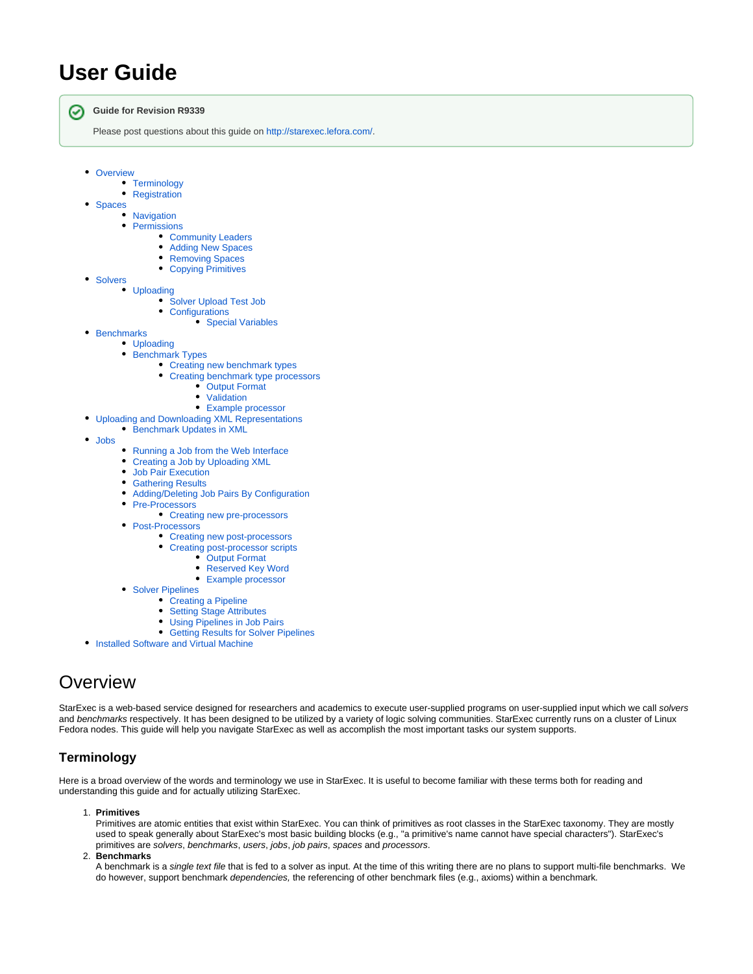# **User Guide**

の

**Guide for Revision R9339**

Please post questions about this guide on [http://starexec.lefora.com/.](http://starexec.lefora.com/)

- [Overview](#page-0-0)
	- [Terminology](#page-0-1)
	- [Registration](#page-2-0)
- [Spaces](#page-2-1)
	- **[Navigation](#page-2-2)** 
		- [Permissions](#page-2-3)
			- [Community Leaders](#page-3-0)
			- [Adding New Spaces](#page-3-1)  $\bullet$  $\bullet$
			- [Removing Spaces](#page-3-2)  $\bullet$ [Copying Primitives](#page-3-3)
	- **[Solvers](#page-3-4)**

 $\bullet$ 

 $\bullet$ 

- [Uploading](#page-3-5)
	- [Solver Upload Test Job](#page-4-0)
	- [Configurations](#page-4-1)
		- [Special Variables](#page-4-2)
- [Benchmarks](#page-4-3)
	- [Uploading](#page-4-4)
		- **[Benchmark Types](#page-5-0)** 
			- [Creating new benchmark types](#page-5-1)
			- [Creating benchmark type processors](#page-5-2)
				- [Output Format](#page-5-3)
				- [Validation](#page-6-0)
			- [Example processor](#page-6-1)
	- [Uploading and Downloading XML Representations](#page-7-0)
- **[Benchmark Updates in XML](#page-8-0)**
- [Jobs](#page-8-1)
	- [Running a Job from the Web Interface](#page-8-2)
	- [Creating a Job by Uploading XML](#page-8-3)
	- [Job Pair Execution](#page-9-0)
	- **[Gathering Results](#page-9-1)**
	- [Adding/Deleting Job Pairs By Configuration](#page-9-2)
	- [Pre-Processors](#page-9-3)
		- [Creating new pre-processors](#page-9-4)
	- [Post-Processors](#page-9-5)
		- [Creating new post-processors](#page-10-0)
		- [Creating post-processor scripts](#page-10-1)
			- [Output Format](#page-10-2)
				- [Reserved Key Word](#page-10-3)
				- [Example processor](#page-10-4)
	- [Solver Pipelines](#page-11-0)
		- [Creating a Pipeline](#page-12-0)
		- $\bullet$ [Setting Stage Attributes](#page-13-0)
		- [Using Pipelines in Job Pairs](#page-13-1)
		- [Getting Results for Solver Pipelines](#page-14-0)
- [Installed Software and Virtual Machine](#page-14-1)

# <span id="page-0-0"></span>**Overview**

StarExec is a web-based service designed for researchers and academics to execute user-supplied programs on user-supplied input which we call solvers and benchmarks respectively. It has been designed to be utilized by a variety of logic solving communities. StarExec currently runs on a cluster of Linux Fedora nodes. This guide will help you navigate StarExec as well as accomplish the most important tasks our system supports.

# <span id="page-0-1"></span>**Terminology**

Here is a broad overview of the words and terminology we use in StarExec. It is useful to become familiar with these terms both for reading and understanding this guide and for actually utilizing StarExec.

1. **Primitives**

Primitives are atomic entities that exist within StarExec. You can think of primitives as root classes in the StarExec taxonomy. They are mostly used to speak generally about StarExec's most basic building blocks (e.g., "a primitive's name cannot have special characters"). StarExec's primitives are solvers, benchmarks, users, jobs, job pairs, spaces and processors.

2. **Benchmarks**

A benchmark is a single text file that is fed to a solver as input. At the time of this writing there are no plans to support multi-file benchmarks. We do however, support benchmark *dependencies*, the referencing of other benchmark files (e.g., axioms) within a benchmark.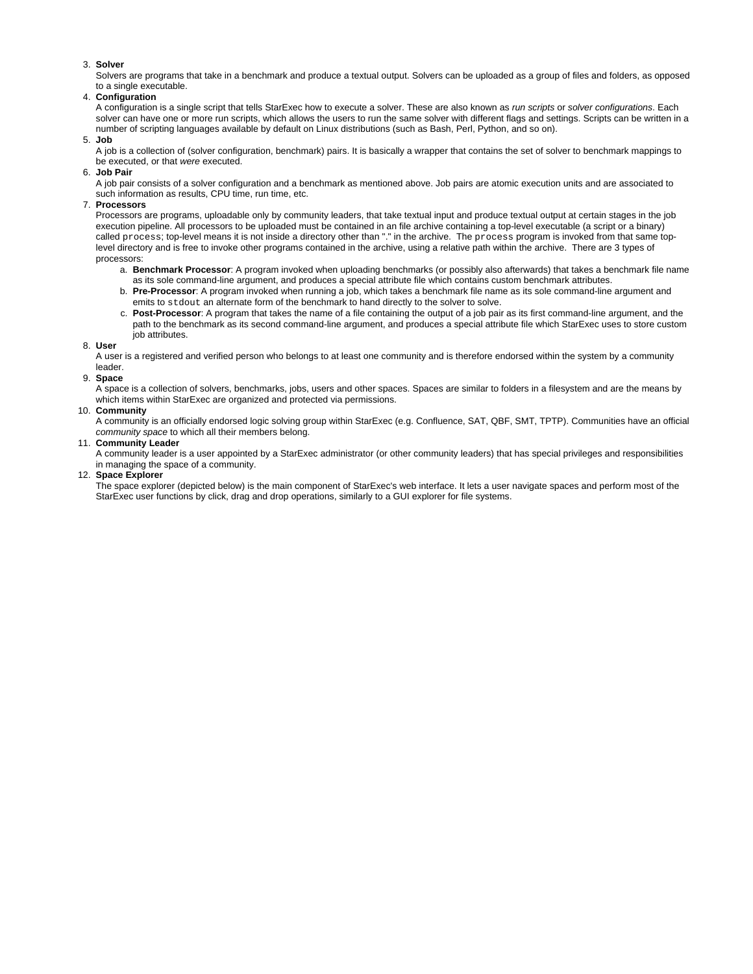### 3. **Solver**

Solvers are programs that take in a benchmark and produce a textual output. Solvers can be uploaded as a group of files and folders, as opposed to a single executable.

#### 4. **Configuration**

A configuration is a single script that tells StarExec how to execute a solver. These are also known as run scripts or solver configurations. Each solver can have one or more run scripts, which allows the users to run the same solver with different flags and settings. Scripts can be written in a number of scripting languages available by default on Linux distributions (such as Bash, Perl, Python, and so on).

#### 5. **Job**

A job is a collection of (solver configuration, benchmark) pairs. It is basically a wrapper that contains the set of solver to benchmark mappings to be executed, or that were executed.

6. **Job Pair**

A job pair consists of a solver configuration and a benchmark as mentioned above. Job pairs are atomic execution units and are associated to such information as results, CPU time, run time, etc.

#### 7. **Processors**

Processors are programs, uploadable only by community leaders, that take textual input and produce textual output at certain stages in the iob execution pipeline. All processors to be uploaded must be contained in an file archive containing a top-level executable (a script or a binary) called process; top-level means it is not inside a directory other than "." in the archive. The process program is invoked from that same toplevel directory and is free to invoke other programs contained in the archive, using a relative path within the archive. There are 3 types of processors:

- a. **Benchmark Processor**: A program invoked when uploading benchmarks (or possibly also afterwards) that takes a benchmark file name as its sole command-line argument, and produces a special attribute file which contains custom benchmark attributes.
- b. **Pre-Processor**: A program invoked when running a job, which takes a benchmark file name as its sole command-line argument and emits to stdout an alternate form of the benchmark to hand directly to the solver to solve.
- c. **Post-Processor**: A program that takes the name of a file containing the output of a job pair as its first command-line argument, and the path to the benchmark as its second command-line argument, and produces a special attribute file which StarExec uses to store custom job attributes.

#### 8. **User**

A user is a registered and verified person who belongs to at least one community and is therefore endorsed within the system by a community leader.

#### 9. **Space**

A space is a collection of solvers, benchmarks, jobs, users and other spaces. Spaces are similar to folders in a filesystem and are the means by which items within StarExec are organized and protected via permissions.

#### 10. **Community**

A community is an officially endorsed logic solving group within StarExec (e.g. Confluence, SAT, QBF, SMT, TPTP). Communities have an official community space to which all their members belong.

## 11. **Community Leader**

A community leader is a user appointed by a StarExec administrator (or other community leaders) that has special privileges and responsibilities in managing the space of a community.

#### 12. **Space Explorer**

The space explorer (depicted below) is the main component of StarExec's web interface. It lets a user navigate spaces and perform most of the StarExec user functions by click, drag and drop operations, similarly to a GUI explorer for file systems.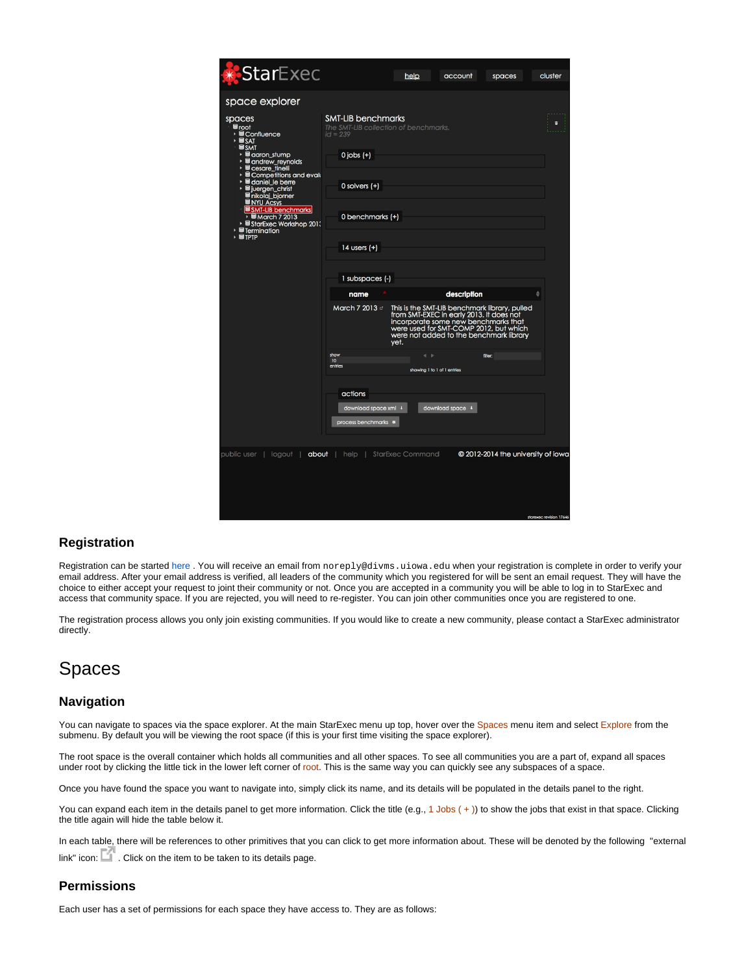| <b>StarExec</b>                                                                                                                                                                                                                                                                                                                                                                                                       |                                                                                                                                                                                                                                                              | help                                                | account                                                                                                                                                                                                                               | spaces                             | cluster |
|-----------------------------------------------------------------------------------------------------------------------------------------------------------------------------------------------------------------------------------------------------------------------------------------------------------------------------------------------------------------------------------------------------------------------|--------------------------------------------------------------------------------------------------------------------------------------------------------------------------------------------------------------------------------------------------------------|-----------------------------------------------------|---------------------------------------------------------------------------------------------------------------------------------------------------------------------------------------------------------------------------------------|------------------------------------|---------|
| space explorer                                                                                                                                                                                                                                                                                                                                                                                                        |                                                                                                                                                                                                                                                              |                                                     |                                                                                                                                                                                                                                       |                                    |         |
| spaces<br>≣root<br>▶ <b>Sconfluence</b><br>⊁ <sup>B</sup> SAT<br><b>SSMT</b><br>→ ■ aaron_stump<br>▶ <b>B</b> andrew_reynolds<br>$\equiv$ cesare_tinelli<br>▶ <b>B</b> Competitions and evalu<br>▶ B daniel_le berre<br>▶ <sup>B</sup> juergen_christ<br><b>≡</b> nikolaj_bjorner<br><b>ENYU Acsys</b><br>SMT-LIB benchmarks<br>BMarch 7 2013<br>› StarExec Workshop 2011<br><b>Sermination</b><br>٠<br>$\cdot$ STPTP | <b>SMT-LIB benchmarks</b><br>The SMT-LIB collection of benchmarks.<br>$id = 239$<br>$0$ jobs $(+)$<br>$0$ solvers $(+)$<br>0 benchmarks (+)<br>14 users $(+)$<br>1 subspaces (-)<br>name<br>March 7 2013 &<br>show<br>10 <sup>10</sup><br>entries<br>actions | yet.<br>$\leftarrow$<br>showing 1 to 1 of 1 entries | description<br>This is the SMT-LIB benchmark library, pulled<br>from SMT-EXEC in early 2013. It does not<br>incorporate some new benchmarks that<br>were used for SMT-COMP 2012, but which<br>were not added to the benchmark library | filter:                            | е<br>÷  |
|                                                                                                                                                                                                                                                                                                                                                                                                                       | download space xml +<br>process benchmarks <sup>a</sup>                                                                                                                                                                                                      |                                                     | download space +                                                                                                                                                                                                                      |                                    |         |
|                                                                                                                                                                                                                                                                                                                                                                                                                       |                                                                                                                                                                                                                                                              |                                                     |                                                                                                                                                                                                                                       |                                    |         |
| public user   logout   <b>about</b>   help   StarExec Command                                                                                                                                                                                                                                                                                                                                                         |                                                                                                                                                                                                                                                              |                                                     |                                                                                                                                                                                                                                       | © 2012-2014 the university of iowo |         |

## <span id="page-2-0"></span>**Registration**

Registration can be started [here .](http://starexec.cs.uiowa.edu/starexec/public/registration.jsp) You will receive an email from noreply@divms.uiowa.edu when your registration is complete in order to verify your email address. After your email address is verified, all leaders of the community which you registered for will be sent an email request. They will have the choice to either accept your request to joint their community or not. Once you are accepted in a community you will be able to log in to StarExec and access that community space. If you are rejected, you will need to re-register. You can join other communities once you are registered to one.

The registration process allows you only join existing communities. If you would like to create a new community, please contact a StarExec administrator directly.

# <span id="page-2-1"></span>Spaces

## <span id="page-2-2"></span>**Navigation**

You can navigate to spaces via the space explorer. At the main StarExec menu up top, hover over the Spaces menu item and select Explore from the submenu. By default you will be viewing the root space (if this is your first time visiting the space explorer).

The root space is the overall container which holds all communities and all other spaces. To see all communities you are a part of, expand all spaces under root by clicking the little tick in the lower left corner of root. This is the same way you can quickly see any subspaces of a space.

Once you have found the space you want to navigate into, simply click its name, and its details will be populated in the details panel to the right.

You can expand each item in the details panel to get more information. Click the title (e.g., 1 Jobs  $(+)$ ) to show the jobs that exist in that space. Clicking the title again will hide the table below it.

In each table, there will be references to other primitives that you can click to get more information about. These will be denoted by the following "external link" icon:  $\Box$  $\Box$ . Click on the item to be taken to its details page.

# <span id="page-2-3"></span>**Permissions**

Each user has a set of permissions for each space they have access to. They are as follows: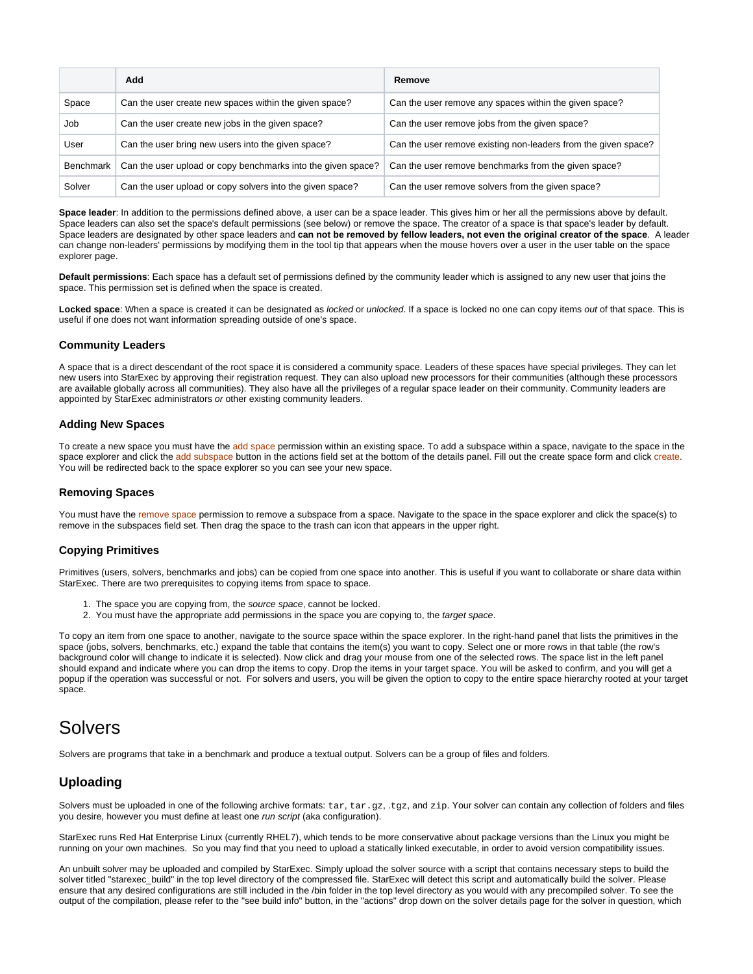|                  | Add                                                          | Remove                                                         |
|------------------|--------------------------------------------------------------|----------------------------------------------------------------|
| Space            | Can the user create new spaces within the given space?       | Can the user remove any spaces within the given space?         |
| Job              | Can the user create new jobs in the given space?             | Can the user remove jobs from the given space?                 |
| User             | Can the user bring new users into the given space?           | Can the user remove existing non-leaders from the given space? |
| <b>Benchmark</b> | Can the user upload or copy benchmarks into the given space? | Can the user remove benchmarks from the given space?           |
| Solver           | Can the user upload or copy solvers into the given space?    | Can the user remove solvers from the given space?              |

**Space leader**: In addition to the permissions defined above, a user can be a space leader. This gives him or her all the permissions above by default. Space leaders can also set the space's default permissions (see below) or remove the space. The creator of a space is that space's leader by default. Space leaders are designated by other space leaders and **can not be removed by fellow leaders, not even the original creator of the space**. A leader can change non-leaders' permissions by modifying them in the tool tip that appears when the mouse hovers over a user in the user table on the space explorer page.

**Default permissions**: Each space has a default set of permissions defined by the community leader which is assigned to any new user that joins the space. This permission set is defined when the space is created.

Locked space: When a space is created it can be designated as *locked or unlocked*. If a space is locked no one can copy items out of that space. This is useful if one does not want information spreading outside of one's space.

## <span id="page-3-0"></span>**Community Leaders**

A space that is a direct descendant of the root space it is considered a community space. Leaders of these spaces have special privileges. They can let new users into StarExec by approving their registration request. They can also upload new processors for their communities (although these processors are available globally across all communities). They also have all the privileges of a regular space leader on their community. Community leaders are appointed by StarExec administrators or other existing community leaders.

## <span id="page-3-1"></span>**Adding New Spaces**

To create a new space you must have the add space permission within an existing space. To add a subspace within a space, navigate to the space in the space explorer and click the add subspace button in the actions field set at the bottom of the details panel. Fill out the create space form and click create. You will be redirected back to the space explorer so you can see your new space.

### <span id="page-3-2"></span>**Removing Spaces**

You must have the remove space permission to remove a subspace from a space. Navigate to the space in the space explorer and click the space(s) to remove in the subspaces field set. Then drag the space to the trash can icon that appears in the upper right.

## <span id="page-3-3"></span>**Copying Primitives**

Primitives (users, solvers, benchmarks and jobs) can be copied from one space into another. This is useful if you want to collaborate or share data within StarExec. There are two prerequisites to copying items from space to space.

- 1. The space you are copying from, the source space, cannot be locked.
- 2. You must have the appropriate add permissions in the space you are copying to, the target space.

To copy an item from one space to another, navigate to the source space within the space explorer. In the right-hand panel that lists the primitives in the space (jobs, solvers, benchmarks, etc.) expand the table that contains the item(s) you want to copy. Select one or more rows in that table (the row's background color will change to indicate it is selected). Now click and drag your mouse from one of the selected rows. The space list in the left panel should expand and indicate where you can drop the items to copy. Drop the items in your target space. You will be asked to confirm, and you will get a popup if the operation was successful or not. For solvers and users, you will be given the option to copy to the entire space hierarchy rooted at your target space.

# <span id="page-3-4"></span>Solvers

Solvers are programs that take in a benchmark and produce a textual output. Solvers can be a group of files and folders.

## <span id="page-3-5"></span>**Uploading**

Solvers must be uploaded in one of the following archive formats: tar, tar.gz, .tgz, and zip. Your solver can contain any collection of folders and files you desire, however you must define at least one run script (aka configuration).

StarExec runs Red Hat Enterprise Linux (currently RHEL7), which tends to be more conservative about package versions than the Linux you might be running on your own machines. So you may find that you need to upload a statically linked executable, in order to avoid version compatibility issues.

An unbuilt solver may be uploaded and compiled by StarExec. Simply upload the solver source with a script that contains necessary steps to build the solver titled "starexec\_build" in the top level directory of the compressed file. StarExec will detect this script and automatically build the solver. Please ensure that any desired configurations are still included in the /bin folder in the top level directory as you would with any precompiled solver. To see the output of the compilation, please refer to the "see build info" button, in the "actions" drop down on the solver details page for the solver in question, which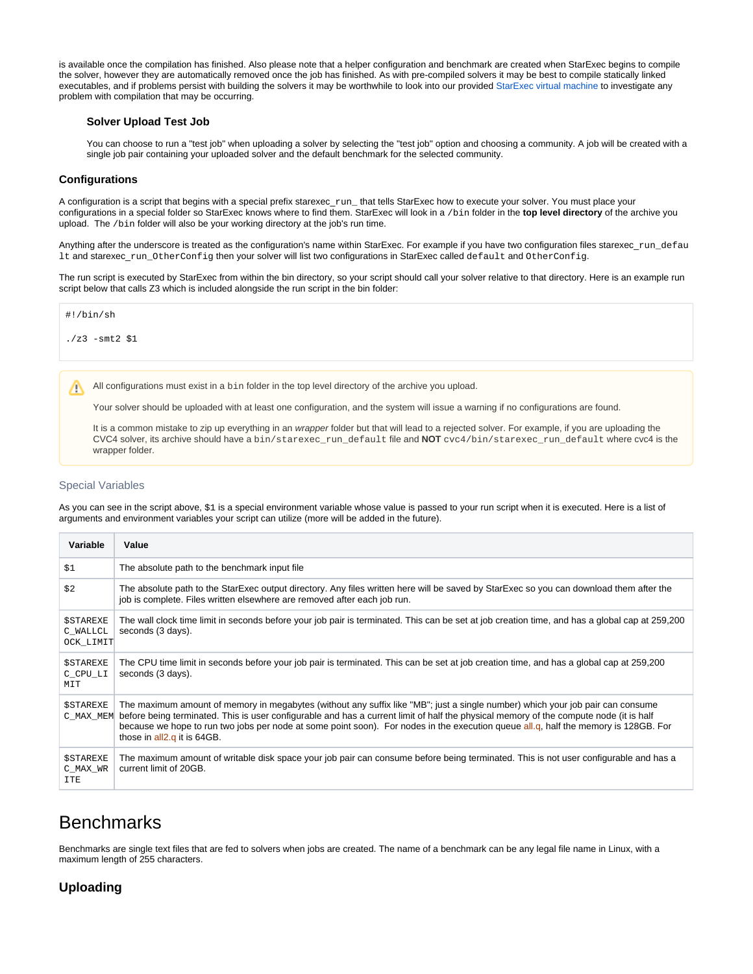<span id="page-4-0"></span>is available once the compilation has finished. Also please note that a helper configuration and benchmark are created when StarExec begins to compile the solver, however they are automatically removed once the job has finished. As with pre-compiled solvers it may be best to compile statically linked executables, and if problems persist with building the solvers it may be worthwhile to look into our provided [StarExec virtual machine](https://wiki.uiowa.edu/display/stardev/User+Guide#UserGuide-InstalledSoftwareandVirtualMachine) to investigate any problem with compilation that may be occurring.

### **Solver Upload Test Job**

You can choose to run a "test job" when uploading a solver by selecting the "test job" option and choosing a community. A job will be created with a single job pair containing your uploaded solver and the default benchmark for the selected community.

### <span id="page-4-1"></span>**Configurations**

A configuration is a script that begins with a special prefix starexec\_run\_ that tells StarExec how to execute your solver. You must place your configurations in a special folder so StarExec knows where to find them. StarExec will look in a /bin folder in the **top level directory** of the archive you upload. The /bin folder will also be your working directory at the job's run time.

Anything after the underscore is treated as the configuration's name within StarExec. For example if you have two configuration files starexec\_run\_defau lt and starexec\_run\_OtherConfig then your solver will list two configurations in StarExec called default and OtherConfig.

The run script is executed by StarExec from within the bin directory, so your script should call your solver relative to that directory. Here is an example run script below that calls Z3 which is included alongside the run script in the bin folder:



 $.7z3 - smt2 S1$ 

All configurations must exist in a bin folder in the top level directory of the archive you upload. Λ

Your solver should be uploaded with at least one configuration, and the system will issue a warning if no configurations are found.

It is a common mistake to zip up everything in an wrapper folder but that will lead to a rejected solver. For example, if you are uploading the CVC4 solver, its archive should have a bin/starexec\_run\_default file and **NOT** cvc4/bin/starexec\_run\_default where cvc4 is the wrapper folder.

### <span id="page-4-2"></span>Special Variables

As you can see in the script above, \$1 is a special environment variable whose value is passed to your run script when it is executed. Here is a list of arguments and environment variables your script can utilize (more will be added in the future).

| Variable                                  | Value                                                                                                                                                                                                                                                                                                                                                                                                                                          |
|-------------------------------------------|------------------------------------------------------------------------------------------------------------------------------------------------------------------------------------------------------------------------------------------------------------------------------------------------------------------------------------------------------------------------------------------------------------------------------------------------|
| \$1                                       | The absolute path to the benchmark input file                                                                                                                                                                                                                                                                                                                                                                                                  |
| \$2                                       | The absolute path to the StarExec output directory. Any files written here will be saved by StarExec so you can download them after the<br>job is complete. Files written elsewhere are removed after each job run.                                                                                                                                                                                                                            |
| <b>\$STAREXE</b><br>C WALLCL<br>OCK_LIMIT | The wall clock time limit in seconds before your job pair is terminated. This can be set at job creation time, and has a global cap at 259,200<br>seconds (3 days).                                                                                                                                                                                                                                                                            |
| <b>SSTAREXE</b><br>C CPU LI<br>MIT        | The CPU time limit in seconds before your job pair is terminated. This can be set at job creation time, and has a global cap at 259,200<br>seconds (3 days).                                                                                                                                                                                                                                                                                   |
| <b>SSTAREXE</b><br>C MAX MEM              | The maximum amount of memory in megabytes (without any suffix like "MB"; just a single number) which your job pair can consume<br>before being terminated. This is user configurable and has a current limit of half the physical memory of the compute node (it is half<br>because we hope to run two jobs per node at some point soon). For nodes in the execution queue all.g, half the memory is 128GB. For<br>those in all2.q it is 64GB. |
| <b>SSTAREXE</b><br>C_MAX_WR<br><b>TTE</b> | The maximum amount of writable disk space your job pair can consume before being terminated. This is not user configurable and has a<br>current limit of 20GB.                                                                                                                                                                                                                                                                                 |

# <span id="page-4-3"></span>Benchmarks

Benchmarks are single text files that are fed to solvers when jobs are created. The name of a benchmark can be any legal file name in Linux, with a maximum length of 255 characters.

## <span id="page-4-4"></span>**Uploading**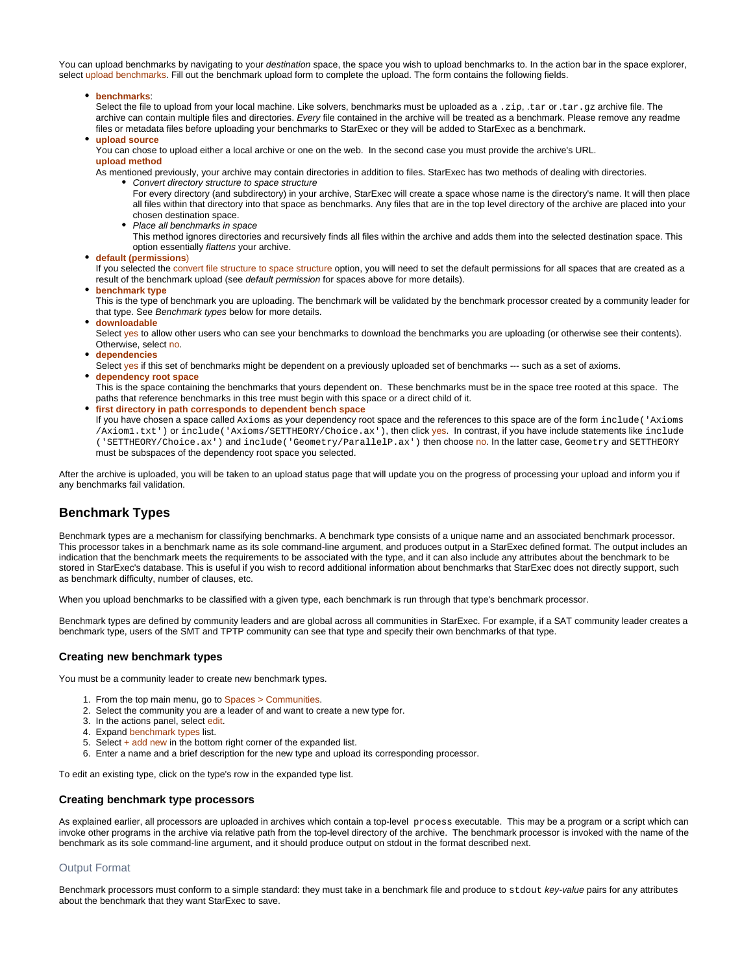You can upload benchmarks by navigating to your destination space, the space you wish to upload benchmarks to. In the action bar in the space explorer, select upload benchmarks. Fill out the benchmark upload form to complete the upload. The form contains the following fields.

**benchmarks**:

Select the file to upload from your local machine. Like solvers, benchmarks must be uploaded as a .zip, .tar or .tar.gz archive file. The archive can contain multiple files and directories. Every file contained in the archive will be treated as a benchmark. Please remove any readme files or metadata files before uploading your benchmarks to StarExec or they will be added to StarExec as a benchmark.

**upload source**

You can chose to upload either a local archive or one on the web. In the second case you must provide the archive's URL. **upload method**

As mentioned previously, your archive may contain directories in addition to files. StarExec has two methods of dealing with directories.

• Convert directory structure to space structure For every directory (and subdirectory) in your archive, StarExec will create a space whose name is the directory's name. It will then place all files within that directory into that space as benchmarks. Any files that are in the top level directory of the archive are placed into your chosen destination space.

• Place all benchmarks in space

This method ignores directories and recursively finds all files within the archive and adds them into the selected destination space. This option essentially flattens your archive.

**default (permissions**)

If you selected the convert file structure to space structure option, you will need to set the default permissions for all spaces that are created as a result of the benchmark upload (see default permission for spaces above for more details).

**benchmark type**

This is the type of benchmark you are uploading. The benchmark will be validated by the benchmark processor created by a community leader for that type. See Benchmark types below for more details.

**downloadable**

Select yes to allow other users who can see your benchmarks to download the benchmarks you are uploading (or otherwise see their contents). Otherwise, select no.

**dependencies**

Select yes if this set of benchmarks might be dependent on a previously uploaded set of benchmarks --- such as a set of axioms.

**dependency root space** 

This is the space containing the benchmarks that yours dependent on. These benchmarks must be in the space tree rooted at this space. The paths that reference benchmarks in this tree must begin with this space or a direct child of it.

**first directory in path corresponds to dependent bench space**

If you have chosen a space called Axioms as your dependency root space and the references to this space are of the form include ('Axioms /Axiom1.txt') or include('Axioms/SETTHEORY/Choice.ax'), then click yes. In contrast, if you have include statements like include ('SETTHEORY/Choice.ax') and include('Geometry/ParallelP.ax') then choose no. In the latter case, Geometry and SETTHEORY must be subspaces of the dependency root space you selected.

After the archive is uploaded, you will be taken to an upload status page that will update you on the progress of processing your upload and inform you if any benchmarks fail validation.

## <span id="page-5-0"></span>**Benchmark Types**

Benchmark types are a mechanism for classifying benchmarks. A benchmark type consists of a unique name and an associated benchmark processor. This processor takes in a benchmark name as its sole command-line argument, and produces output in a StarExec defined format. The output includes an indication that the benchmark meets the requirements to be associated with the type, and it can also include any attributes about the benchmark to be stored in StarExec's database. This is useful if you wish to record additional information about benchmarks that StarExec does not directly support, such as benchmark difficulty, number of clauses, etc.

When you upload benchmarks to be classified with a given type, each benchmark is run through that type's benchmark processor.

Benchmark types are defined by community leaders and are global across all communities in StarExec. For example, if a SAT community leader creates a benchmark type, users of the SMT and TPTP community can see that type and specify their own benchmarks of that type.

### <span id="page-5-1"></span>**Creating new benchmark types**

You must be a community leader to create new benchmark types.

- 1. From the top main menu, go to Spaces > Communities.
- 2. Select the community you are a leader of and want to create a new type for.
- 3. In the actions panel, select edit.
- 4. Expand benchmark types list.
- 5. Select + add new in the bottom right corner of the expanded list.
- 6. Enter a name and a brief description for the new type and upload its corresponding processor.

To edit an existing type, click on the type's row in the expanded type list.

#### <span id="page-5-2"></span>**Creating benchmark type processors**

As explained earlier, all processors are uploaded in archives which contain a top-level process executable. This may be a program or a script which can invoke other programs in the archive via relative path from the top-level directory of the archive. The benchmark processor is invoked with the name of the benchmark as its sole command-line argument, and it should produce output on stdout in the format described next.

#### <span id="page-5-3"></span>Output Format

Benchmark processors must conform to a simple standard: they must take in a benchmark file and produce to st dout key-value pairs for any attributes about the benchmark that they want StarExec to save.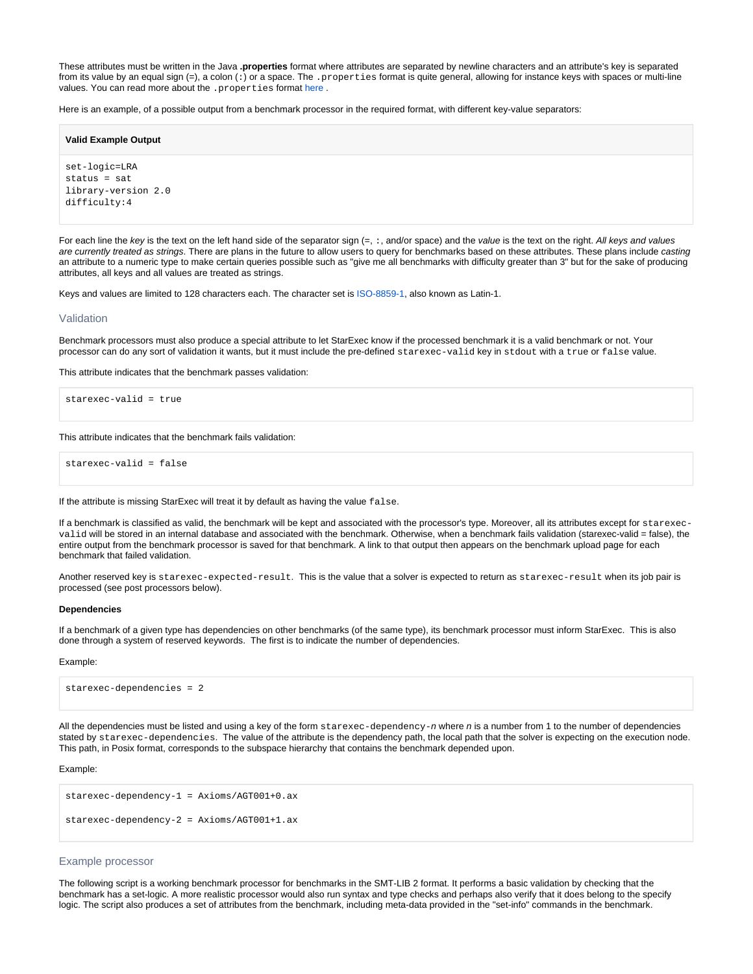These attributes must be written in the Java **.properties** format where attributes are separated by newline characters and an attribute's key is separated from its value by an equal sign (=), a colon (:) or a space. The . properties format is quite general, allowing for instance keys with spaces or multi-line values. You can read more about the . properties format here.

Here is an example, of a possible output from a benchmark processor in the required format, with different key-value separators:

#### **Valid Example Output**

set-logic=LRA status = sat library-version 2.0 difficulty:4

For each line the key is the text on the left hand side of the separator sign  $(=, :, \text{and/or space})$  and the value is the text on the right. All keys and values are currently treated as strings. There are plans in the future to allow users to query for benchmarks based on these attributes. These plans include casting an attribute to a numeric type to make certain queries possible such as "give me all benchmarks with difficulty greater than 3" but for the sake of producing attributes, all keys and all values are treated as strings.

Keys and values are limited to 128 characters each. The character set is [ISO-8859-1,](http://en.wikipedia.org/wiki/ISO/IEC_8859-1) also known as Latin-1.

#### <span id="page-6-0"></span>Validation

Benchmark processors must also produce a special attribute to let StarExec know if the processed benchmark it is a valid benchmark or not. Your processor can do any sort of validation it wants, but it must include the pre-defined starexec-valid key in stdout with a true or false value.

This attribute indicates that the benchmark passes validation:

starexec-valid = true

This attribute indicates that the benchmark fails validation:

starexec-valid = false

If the attribute is missing StarExec will treat it by default as having the value false.

If a benchmark is classified as valid, the benchmark will be kept and associated with the processor's type. Moreover, all its attributes except for starexecvalid will be stored in an internal database and associated with the benchmark. Otherwise, when a benchmark fails validation (starexec-valid = false), the entire output from the benchmark processor is saved for that benchmark. A link to that output then appears on the benchmark upload page for each benchmark that failed validation.

Another reserved key is starexec-expected-result. This is the value that a solver is expected to return as starexec-result when its job pair is processed (see post processors below).

#### **Dependencies**

If a benchmark of a given type has dependencies on other benchmarks (of the same type), its benchmark processor must inform StarExec. This is also done through a system of reserved keywords. The first is to indicate the number of dependencies.

Example:

starexec-dependencies = 2

All the dependencies must be listed and using a key of the form  $\text{stَ}$ rexec-dependency-n where n is a number from 1 to the number of dependencies stated by starexec-dependencies. The value of the attribute is the dependency path, the local path that the solver is expecting on the execution node. This path, in Posix format, corresponds to the subspace hierarchy that contains the benchmark depended upon.

#### Example:

```
starexec-dependency-1 = Axioms/AGT001+0.ax
starexec-dependency-2 = Axioms/AGT001+1.ax
```
## <span id="page-6-1"></span>Example processor

The following script is a working benchmark processor for benchmarks in the SMT-LIB 2 format. It performs a basic validation by checking that the benchmark has a set-logic. A more realistic processor would also run syntax and type checks and perhaps also verify that it does belong to the specify logic. The script also produces a set of attributes from the benchmark, including meta-data provided in the "set-info" commands in the benchmark.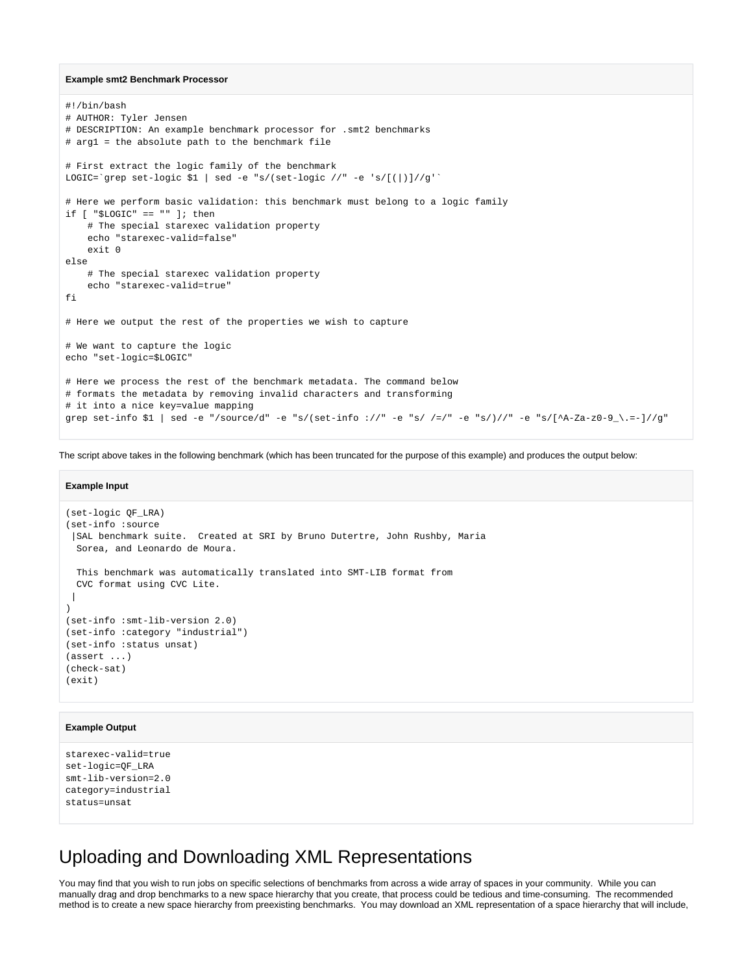#### **Example smt2 Benchmark Processor**

```
#!/bin/bash
# AUTHOR: Tyler Jensen
# DESCRIPTION: An example benchmark processor for .smt2 benchmarks
# arg1 = the absolute path to the benchmark file
# First extract the logic family of the benchmark
LOGIC=`grep set-logic $1 | sed -e "s/(set-logic //" -e 's/[(|)]//g'`
# Here we perform basic validation: this benchmark must belong to a logic family
if [ "$LOGIC" == "" ]; then
     # The special starexec validation property
    echo "starexec-valid=false"
     exit 0
else
     # The special starexec validation property
     echo "starexec-valid=true"
fi
# Here we output the rest of the properties we wish to capture
# We want to capture the logic
echo "set-logic=$LOGIC"
# Here we process the rest of the benchmark metadata. The command below
# formats the metadata by removing invalid characters and transforming
# it into a nice key=value mapping
grep set-info $1 | sed -e "/source/d" -e "s/(set-info ://" -e "s/ /=/" -e "s/)//" -e "s/[^A-Za-z0-9_\.=-]//g"
```
The script above takes in the following benchmark (which has been truncated for the purpose of this example) and produces the output below:

#### **Example Input**

```
(set-logic QF_LRA)
(set-info :source 
 |SAL benchmark suite. Created at SRI by Bruno Dutertre, John Rushby, Maria
  Sorea, and Leonardo de Moura.
  This benchmark was automatically translated into SMT-LIB format from
  CVC format using CVC Lite.
  |
)
(set-info :smt-lib-version 2.0)
(set-info :category "industrial")
(set-info :status unsat)
(assert ...)
(check-sat)
(exit)
```
### **Example Output**

```
starexec-valid=true
set-logic=QF_LRA
smt-lib-version=2.0
category=industrial
status=unsat
```
# <span id="page-7-0"></span>Uploading and Downloading XML Representations

You may find that you wish to run jobs on specific selections of benchmarks from across a wide array of spaces in your community. While you can manually drag and drop benchmarks to a new space hierarchy that you create, that process could be tedious and time-consuming. The recommended method is to create a new space hierarchy from preexisting benchmarks. You may download an XML representation of a space hierarchy that will include,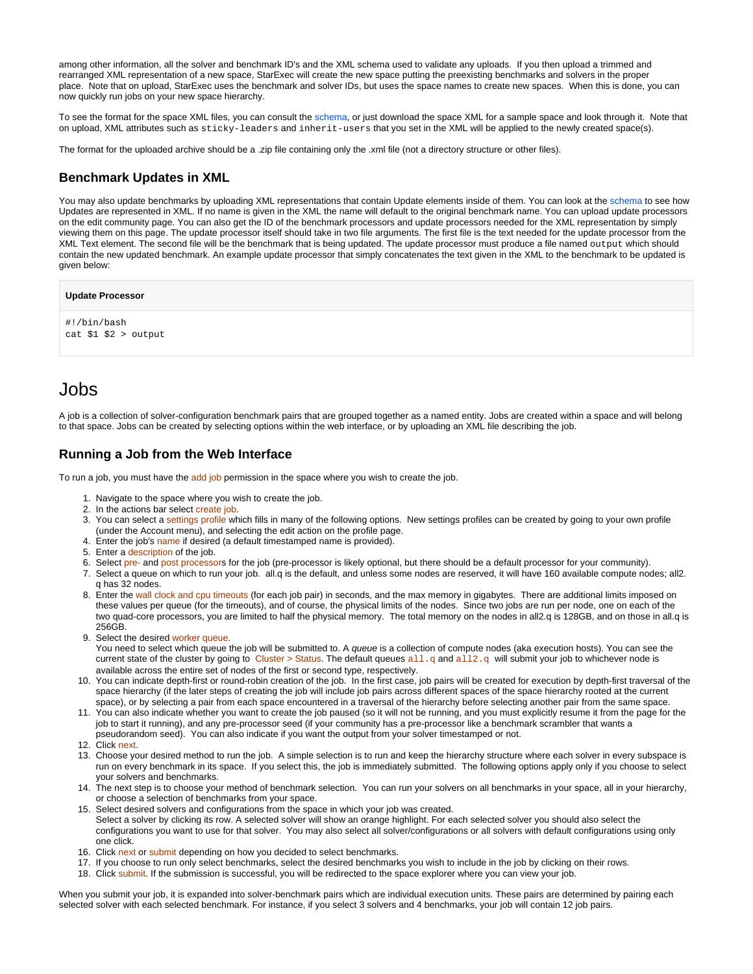among other information, all the solver and benchmark ID's and the XML schema used to validate any uploads. If you then upload a trimmed and rearranged XML representation of a new space, StarExec will create the new space putting the preexisting benchmarks and solvers in the proper place. Note that on upload, StarExec uses the benchmark and solver IDs, but uses the space names to create new spaces. When this is done, you can now quickly run jobs on your new space hierarchy.

To see the format for the space XML files, you can consult the [schema](https://www.starexec.org/starexec/public/batchSpaceSchema.xsd), or just download the space XML for a sample space and look through it. Note that on upload, XML attributes such as sticky-leaders and inherit-users that you set in the XML will be applied to the newly created space(s).

The format for the uploaded archive should be a .zip file containing only the .xml file (not a directory structure or other files).

## <span id="page-8-0"></span>**Benchmark Updates in XML**

You may also update benchmarks by uploading XML representations that contain Update elements inside of them. You can look at the [schema](https://www.starexec.org/starexec/public/batchSpaceSchema.xsd) to see how Updates are represented in XML. If no name is given in the XML the name will default to the original benchmark name. You can upload update processors on the edit community page. You can also get the ID of the benchmark processors and update processors needed for the XML representation by simply viewing them on this page. The update processor itself should take in two file arguments. The first file is the text needed for the update processor from the XML Text element. The second file will be the benchmark that is being updated. The update processor must produce a file named output which should contain the new updated benchmark. An example update processor that simply concatenates the text given in the XML to the benchmark to be updated is given below:

```
Update Processor
```

```
#!/bin/bash
cat $1 $2 > output
```
# <span id="page-8-1"></span>Jobs

A job is a collection of solver-configuration benchmark pairs that are grouped together as a named entity. Jobs are created within a space and will belong to that space. Jobs can be created by selecting options within the web interface, or by uploading an XML file describing the job.

## <span id="page-8-2"></span>**Running a Job from the Web Interface**

To run a job, you must have the add job permission in the space where you wish to create the job.

- 1. Navigate to the space where you wish to create the job.
- 2. In the actions bar select create job.
- 3. You can select a settings profile which fills in many of the following options. New settings profiles can be created by going to your own profile (under the Account menu), and selecting the edit action on the profile page.
- 4. Enter the job's name if desired (a default timestamped name is provided).
- 5. Enter a description of the job.
- 6. Select pre- and post processors for the job (pre-processor is likely optional, but there should be a default processor for your community).
- 7. Select a queue on which to run your job. all.q is the default, and unless some nodes are reserved, it will have 160 available compute nodes; all2. q has 32 nodes.
- 8. Enter the wall clock and cpu timeouts (for each job pair) in seconds, and the max memory in gigabytes. There are additional limits imposed on these values per queue (for the timeouts), and of course, the physical limits of the nodes. Since two jobs are run per node, one on each of the two quad-core processors, you are limited to half the physical memory. The total memory on the nodes in all2.q is 128GB, and on those in all.q is 256GB.
- 9. Select the desired worker queue.
- You need to select which queue the job will be submitted to. A queue is a collection of compute nodes (aka execution hosts). You can see the current state of the cluster by going to Cluster > Status. The default queues  $all.q$  and  $all.q$  will submit your job to whichever node is available across the entire set of nodes of the first or second type, respectively.
- 10. You can indicate depth-first or round-robin creation of the job. In the first case, job pairs will be created for execution by depth-first traversal of the space hierarchy (if the later steps of creating the job will include job pairs across different spaces of the space hierarchy rooted at the current space), or by selecting a pair from each space encountered in a traversal of the hierarchy before selecting another pair from the same space.
- 11. You can also indicate whether you want to create the job paused (so it will not be running, and you must explicitly resume it from the page for the job to start it running), and any pre-processor seed (if your community has a pre-processor like a benchmark scrambler that wants a
- pseudorandom seed). You can also indicate if you want the output from your solver timestamped or not.
- 12. Click next.
- 13. Choose your desired method to run the job. A simple selection is to run and keep the hierarchy structure where each solver in every subspace is run on every benchmark in its space. If you select this, the job is immediately submitted. The following options apply only if you choose to select your solvers and benchmarks.
- 14. The next step is to choose your method of benchmark selection. You can run your solvers on all benchmarks in your space, all in your hierarchy, or choose a selection of benchmarks from your space.
- 15. Select desired solvers and configurations from the space in which your job was created. Select a solver by clicking its row. A selected solver will show an orange highlight. For each selected solver you should also select the configurations you want to use for that solver. You may also select all solver/configurations or all solvers with default configurations using only one click.
- 16. Click next or submit depending on how you decided to select benchmarks.
- 17. If you choose to run only select benchmarks, select the desired benchmarks you wish to include in the job by clicking on their rows.
- 18. Click submit. If the submission is successful, you will be redirected to the space explorer where you can view your job.

<span id="page-8-3"></span>When you submit your job, it is expanded into solver-benchmark pairs which are individual execution units. These pairs are determined by pairing each selected solver with each selected benchmark. For instance, if you select 3 solvers and 4 benchmarks, your job will contain 12 job pairs.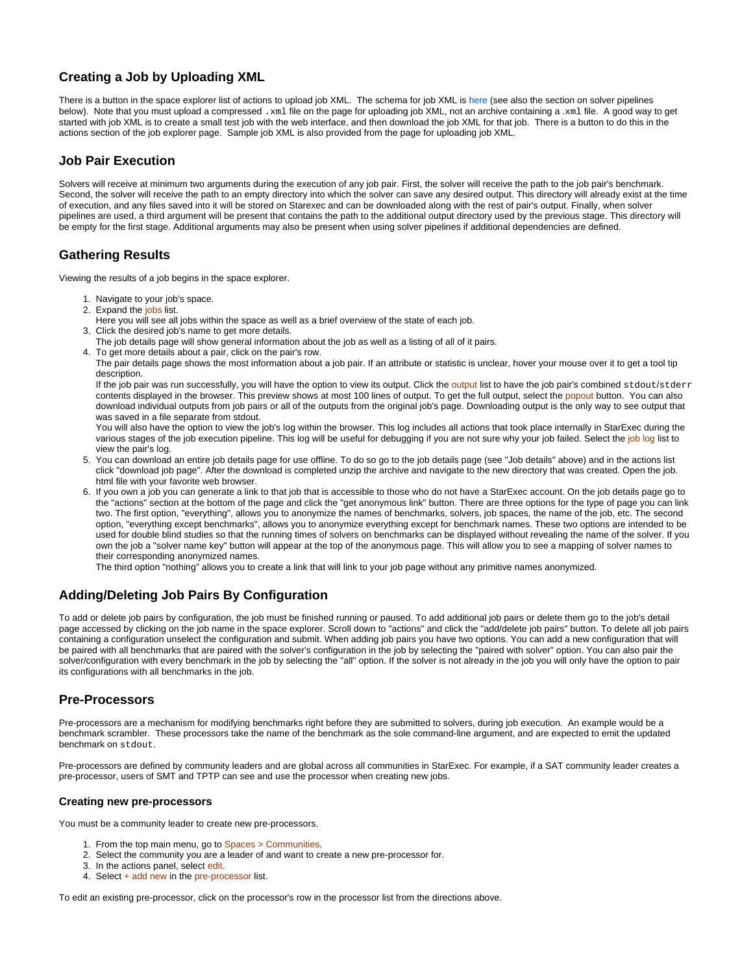# **Creating a Job by Uploading XML**

There is a button in the space explorer list of actions to upload job XML. The schema for job XML is [here](https://www.starexec.org/starexec/public/batchJobSchema.xsd) (see also the section on solver pipelines below). Note that you must upload a compressed .xml file on the page for uploading job XML, not an archive containing a .xml file. A good way to get started with job XML is to create a small test job with the web interface, and then download the job XML for that job. There is a button to do this in the actions section of the job explorer page. Sample job XML is also provided from the page for uploading job XML.

## <span id="page-9-0"></span>**Job Pair Execution**

Solvers will receive at minimum two arguments during the execution of any job pair. First, the solver will receive the path to the job pair's benchmark. Second, the solver will receive the path to an empty directory into which the solver can save any desired output. This directory will already exist at the time of execution, and any files saved into it will be stored on Starexec and can be downloaded along with the rest of pair's output. Finally, when solver pipelines are used, a third argument will be present that contains the path to the additional output directory used by the previous stage. This directory will be empty for the first stage. Additional arguments may also be present when using solver pipelines if additional dependencies are defined.

# <span id="page-9-1"></span>**Gathering Results**

Viewing the results of a job begins in the space explorer.

- 1. Navigate to your job's space.
- 2. Expand the jobs list.
- Here you will see all jobs within the space as well as a brief overview of the state of each job.
- 3. Click the desired job's name to get more details.
- The job details page will show general information about the job as well as a listing of all of it pairs.
- 4. To get more details about a pair, click on the pair's row.

The pair details page shows the most information about a job pair. If an attribute or statistic is unclear, hover your mouse over it to get a tool tip description.

If the job pair was run successfully, you will have the option to view its output. Click the output list to have the job pair's combined stdout/stderr contents displayed in the browser. This preview shows at most 100 lines of output. To get the full output, select the popout button. You can also download individual outputs from job pairs or all of the outputs from the original job's page. Downloading output is the only way to see output that was saved in a file separate from stdout.

You will also have the option to view the job's log within the browser. This log includes all actions that took place internally in StarExec during the various stages of the job execution pipeline. This log will be useful for debugging if you are not sure why your job failed. Select the job log list to view the pair's log.

- 5. You can download an entire job details page for use offline. To do so go to the job details page (see "Job details" above) and in the actions list click "download job page". After the download is completed unzip the archive and navigate to the new directory that was created. Open the job. html file with your favorite web browser.
- 6. If you own a job you can generate a link to that job that is accessible to those who do not have a StarExec account. On the job details page go to the "actions" section at the bottom of the page and click the "get anonymous link" button. There are three options for the type of page you can link two. The first option, "everything", allows you to anonymize the names of benchmarks, solvers, job spaces, the name of the job, etc. The second option, "everything except benchmarks", allows you to anonymize everything except for benchmark names. These two options are intended to be used for double blind studies so that the running times of solvers on benchmarks can be displayed without revealing the name of the solver. If you own the job a "solver name key" button will appear at the top of the anonymous page. This will allow you to see a mapping of solver names to their corresponding anonymized names.

The third option "nothing" allows you to create a link that will link to your job page without any primitive names anonymized.

# <span id="page-9-2"></span>**Adding/Deleting Job Pairs By Configuration**

To add or delete job pairs by configuration, the job must be finished running or paused. To add additional job pairs or delete them go to the job's detail page accessed by clicking on the job name in the space explorer. Scroll down to "actions" and click the "add/delete job pairs" button. To delete all job pairs containing a configuration unselect the configuration and submit. When adding job pairs you have two options. You can add a new configuration that will be paired with all benchmarks that are paired with the solver's configuration in the job by selecting the "paired with solver" option. You can also pair the solver/configuration with every benchmark in the job by selecting the "all" option. If the solver is not already in the job you will only have the option to pair its configurations with all benchmarks in the job.

## <span id="page-9-3"></span>**Pre-Processors**

Pre-processors are a mechanism for modifying benchmarks right before they are submitted to solvers, during job execution. An example would be a benchmark scrambler. These processors take the name of the benchmark as the sole command-line argument, and are expected to emit the updated benchmark on stdout.

Pre-processors are defined by community leaders and are global across all communities in StarExec. For example, if a SAT community leader creates a pre-processor, users of SMT and TPTP can see and use the processor when creating new jobs.

## <span id="page-9-4"></span>**Creating new pre-processors**

You must be a community leader to create new pre-processors.

- 1. From the top main menu, go to Spaces > Communities.
- 2. Select the community you are a leader of and want to create a new pre-processor for.
- 3. In the actions panel, select edit.
- 4. Select + add new in the pre-processor list.

<span id="page-9-5"></span>To edit an existing pre-processor, click on the processor's row in the processor list from the directions above.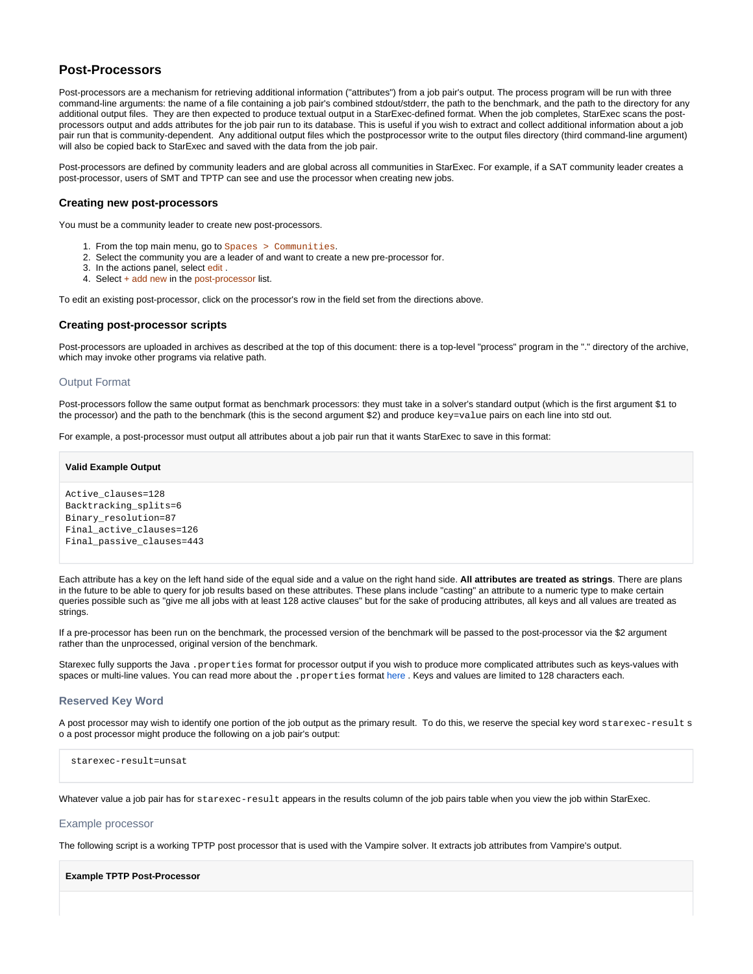## **Post-Processors**

Post-processors are a mechanism for retrieving additional information ("attributes") from a job pair's output. The process program will be run with three command-line arguments: the name of a file containing a job pair's combined stdout/stderr, the path to the benchmark, and the path to the directory for any additional output files. They are then expected to produce textual output in a StarExec-defined format. When the job completes, StarExec scans the postprocessors output and adds attributes for the job pair run to its database. This is useful if you wish to extract and collect additional information about a job pair run that is community-dependent. Any additional output files which the postprocessor write to the output files directory (third command-line argument) will also be copied back to StarExec and saved with the data from the job pair.

Post-processors are defined by community leaders and are global across all communities in StarExec. For example, if a SAT community leader creates a post-processor, users of SMT and TPTP can see and use the processor when creating new jobs.

#### <span id="page-10-0"></span>**Creating new post-processors**

You must be a community leader to create new post-processors.

- 1. From the top main menu, go to Spaces > Communities.
- 2. Select the community you are a leader of and want to create a new pre-processor for.
- 3. In the actions panel, select edit .
- 4. Select + add new in the post-processor list.

To edit an existing post-processor, click on the processor's row in the field set from the directions above.

### <span id="page-10-1"></span>**Creating post-processor scripts**

Post-processors are uploaded in archives as described at the top of this document: there is a top-level "process" program in the "." directory of the archive, which may invoke other programs via relative path.

#### <span id="page-10-2"></span>Output Format

Post-processors follow the same output format as benchmark processors: they must take in a solver's standard output (which is the first argument \$1 to the processor) and the path to the benchmark (this is the second argument \$2) and produce key=value pairs on each line into std out.

For example, a post-processor must output all attributes about a job pair run that it wants StarExec to save in this format:

**Valid Example Output** Active\_clauses=128 Backtracking\_splits=6 Binary\_resolution=87 Final active clauses=126 Final\_passive\_clauses=443

Each attribute has a key on the left hand side of the equal side and a value on the right hand side. **All attributes are treated as strings**. There are plans in the future to be able to query for job results based on these attributes. These plans include "casting" an attribute to a numeric type to make certain queries possible such as "give me all jobs with at least 128 active clauses" but for the sake of producing attributes, all keys and all values are treated as strings.

If a pre-processor has been run on the benchmark, the processed version of the benchmark will be passed to the post-processor via the \$2 argument rather than the unprocessed, original version of the benchmark.

Starexec fully supports the Java .properties format for processor output if you wish to produce more complicated attributes such as keys-values with spaces or multi-line values. You can read more about the . properties format [here .](http://en.wikipedia.org/wiki/.properties) Keys and values are limited to 128 characters each.

#### <span id="page-10-3"></span>**Reserved Key Word**

A post processor may wish to identify one portion of the job output as the primary result. To do this, we reserve the special key word starexec-result s o a post processor might produce the following on a job pair's output:

starexec-result=unsat

Whatever value a job pair has for starexec-result appears in the results column of the job pairs table when you view the job within StarExec.

#### <span id="page-10-4"></span>Example processor

The following script is a working TPTP post processor that is used with the Vampire solver. It extracts job attributes from Vampire's output.

**Example TPTP Post-Processor**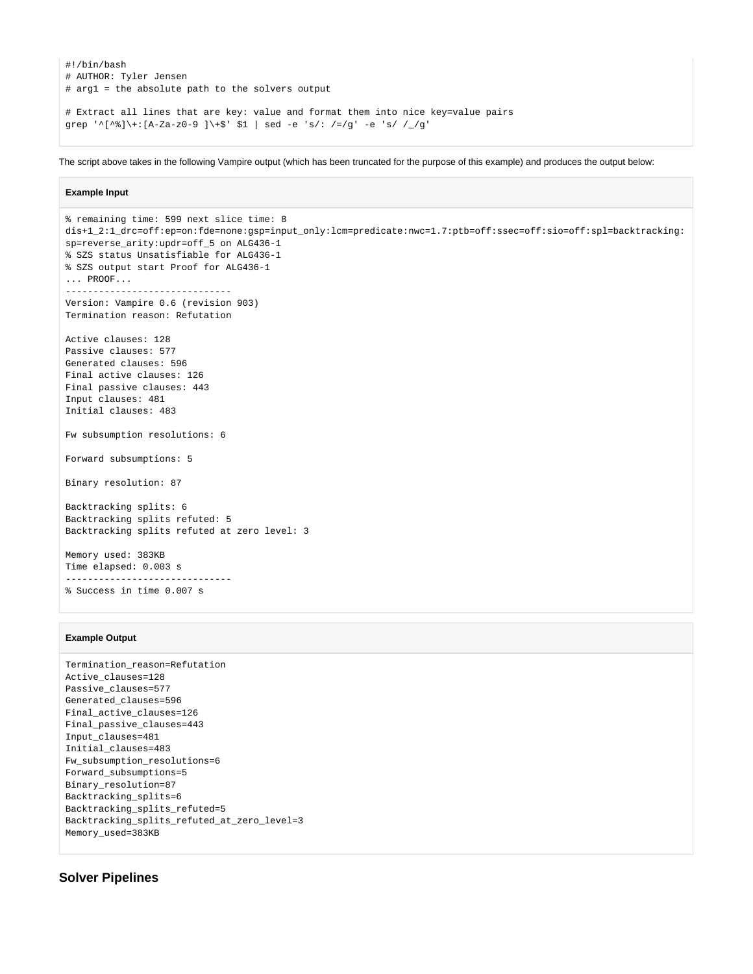```
#!/bin/bash
# AUTHOR: Tyler Jensen
# arg1 = the absolute path to the solvers output
# Extract all lines that are key: value and format them into nice key=value pairs
grep '^[^%]\+:[A-Za-z0-9 ]\+$' $1 | sed -e 's/: /=/g' -e 's/ /_/g'
```
The script above takes in the following Vampire output (which has been truncated for the purpose of this example) and produces the output below:

#### **Example Input**

```
% remaining time: 599 next slice time: 8
dis+1_2:1_drc=off:ep=on:fde=none:gsp=input_only:lcm=predicate:nwc=1.7:ptb=off:ssec=off:sio=off:spl=backtracking:
sp=reverse_arity:updr=off_5 on ALG436-1
% SZS status Unsatisfiable for ALG436-1
% SZS output start Proof for ALG436-1
... PROOF...
 ------------------------------
Version: Vampire 0.6 (revision 903)
Termination reason: Refutation
Active clauses: 128
Passive clauses: 577
Generated clauses: 596
Final active clauses: 126
Final passive clauses: 443
Input clauses: 481
Initial clauses: 483
Fw subsumption resolutions: 6
Forward subsumptions: 5
Binary resolution: 87
Backtracking splits: 6
Backtracking splits refuted: 5
Backtracking splits refuted at zero level: 3
Memory used: 383KB
Time elapsed: 0.003 s
------------------------------
% Success in time 0.007 s
```
#### **Example Output**

```
Termination_reason=Refutation
Active_clauses=128
Passive_clauses=577
Generated_clauses=596
Final_active_clauses=126
Final_passive_clauses=443
Input_clauses=481
Initial_clauses=483
Fw_subsumption_resolutions=6
Forward_subsumptions=5
Binary_resolution=87
Backtracking_splits=6
Backtracking_splits_refuted=5
Backtracking_splits_refuted_at_zero_level=3
Memory_used=383KB
```
# <span id="page-11-0"></span>**Solver Pipelines**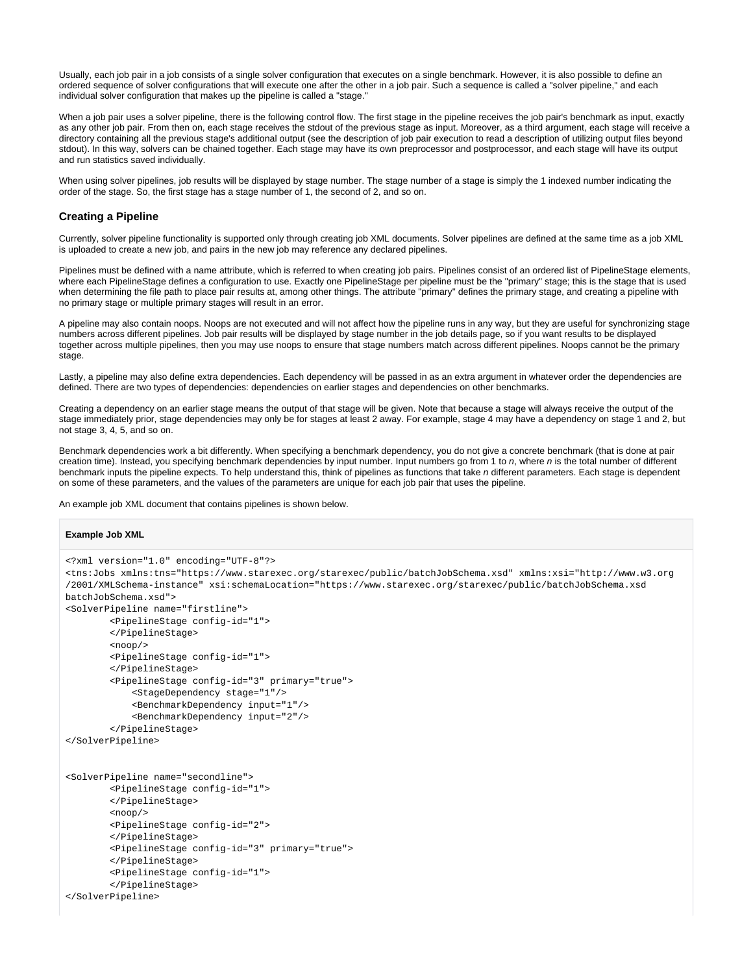Usually, each job pair in a job consists of a single solver configuration that executes on a single benchmark. However, it is also possible to define an ordered sequence of solver configurations that will execute one after the other in a job pair. Such a sequence is called a "solver pipeline," and each individual solver configuration that makes up the pipeline is called a "stage."

When a job pair uses a solver pipeline, there is the following control flow. The first stage in the pipeline receives the job pair's benchmark as input, exactly as any other job pair. From then on, each stage receives the stdout of the previous stage as input. Moreover, as a third argument, each stage will receive a directory containing all the previous stage's additional output (see the description of job pair execution to read a description of utilizing output files beyond stdout). In this way, solvers can be chained together. Each stage may have its own preprocessor and postprocessor, and each stage will have its output and run statistics saved individually.

When using solver pipelines, job results will be displayed by stage number. The stage number of a stage is simply the 1 indexed number indicating the order of the stage. So, the first stage has a stage number of 1, the second of 2, and so on.

## <span id="page-12-0"></span>**Creating a Pipeline**

Currently, solver pipeline functionality is supported only through creating job XML documents. Solver pipelines are defined at the same time as a job XML is uploaded to create a new job, and pairs in the new job may reference any declared pipelines.

Pipelines must be defined with a name attribute, which is referred to when creating job pairs. Pipelines consist of an ordered list of PipelineStage elements, where each PipelineStage defines a configuration to use. Exactly one PipelineStage per pipeline must be the "primary" stage; this is the stage that is used when determining the file path to place pair results at, among other things. The attribute "primary" defines the primary stage, and creating a pipeline with no primary stage or multiple primary stages will result in an error.

A pipeline may also contain noops. Noops are not executed and will not affect how the pipeline runs in any way, but they are useful for synchronizing stage numbers across different pipelines. Job pair results will be displayed by stage number in the job details page, so if you want results to be displayed together across multiple pipelines, then you may use noops to ensure that stage numbers match across different pipelines. Noops cannot be the primary stage.

Lastly, a pipeline may also define extra dependencies. Each dependency will be passed in as an extra argument in whatever order the dependencies are defined. There are two types of dependencies: dependencies on earlier stages and dependencies on other benchmarks.

Creating a dependency on an earlier stage means the output of that stage will be given. Note that because a stage will always receive the output of the stage immediately prior, stage dependencies may only be for stages at least 2 away. For example, stage 4 may have a dependency on stage 1 and 2, but not stage 3, 4, 5, and so on.

Benchmark dependencies work a bit differently. When specifying a benchmark dependency, you do not give a concrete benchmark (that is done at pair creation time). Instead, you specifying benchmark dependencies by input number. Input numbers go from 1 to n, where n is the total number of different benchmark inputs the pipeline expects. To help understand this, think of pipelines as functions that take n different parameters. Each stage is dependent on some of these parameters, and the values of the parameters are unique for each job pair that uses the pipeline.

An example job XML document that contains pipelines is shown below.

```
Example Job XML
<?xml version="1.0" encoding="UTF-8"?>
<tns:Jobs xmlns:tns="https://www.starexec.org/starexec/public/batchJobSchema.xsd" xmlns:xsi="http://www.w3.org
/2001/XMLSchema-instance" xsi:schemaLocation="https://www.starexec.org/starexec/public/batchJobSchema.xsd 
batchJobSchema.xsd">
<SolverPipeline name="firstline">
         <PipelineStage config-id="1">
         </PipelineStage>
         <noop/>
         <PipelineStage config-id="1">
         </PipelineStage>
         <PipelineStage config-id="3" primary="true">
             <StageDependency stage="1"/>
             <BenchmarkDependency input="1"/>
             <BenchmarkDependency input="2"/>
         </PipelineStage>
</SolverPipeline>
<SolverPipeline name="secondline">
         <PipelineStage config-id="1">
         </PipelineStage>
        <sub>1000p/></sub></sub>
         <PipelineStage config-id="2">
         </PipelineStage>
         <PipelineStage config-id="3" primary="true">
         </PipelineStage>
         <PipelineStage config-id="1">
         </PipelineStage>
</SolverPipeline>
```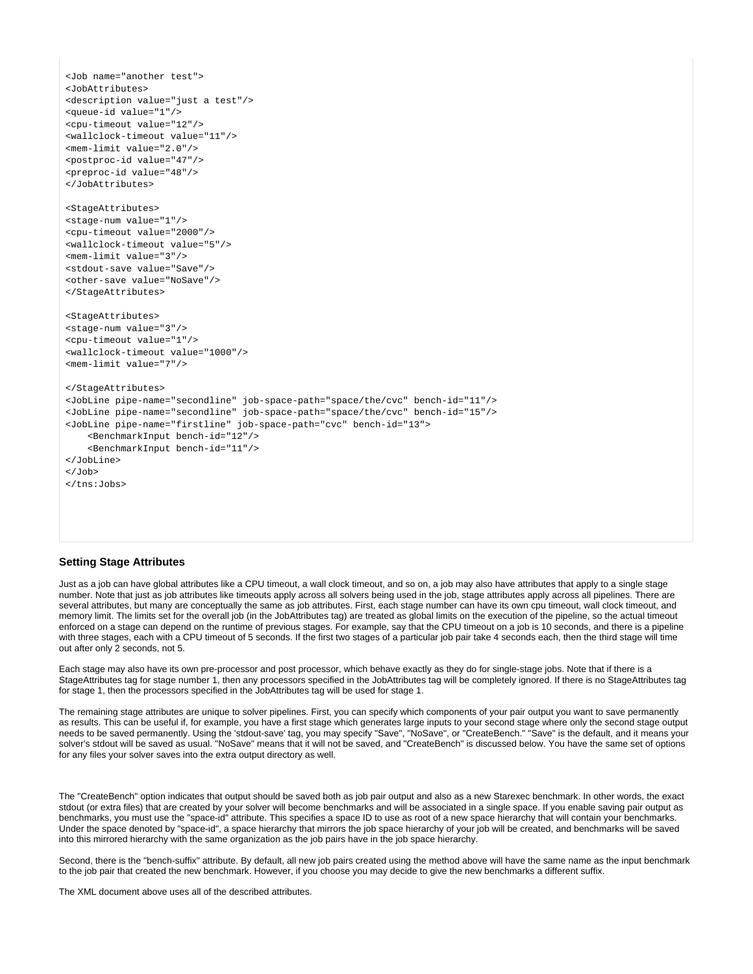```
<Job name="another test">
<JobAttributes>
<description value="just a test"/>
<queue-id value="1"/>
<cpu-timeout value="12"/>
<wallclock-timeout value="11"/>
<mem-limit value="2.0"/>
<postproc-id value="47"/>
<preproc-id value="48"/>
</JobAttributes>
<StageAttributes>
<stage-num value="1"/>
<cpu-timeout value="2000"/>
<wallclock-timeout value="5"/>
<mem-limit value="3"/>
<stdout-save value="Save"/>
<other-save value="NoSave"/>
</StageAttributes>
<StageAttributes>
<stage-num value="3"/>
<cpu-timeout value="1"/>
<wallclock-timeout value="1000"/>
<mem-limit value="7"/>
</StageAttributes>
<JobLine pipe-name="secondline" job-space-path="space/the/cvc" bench-id="11"/>
<JobLine pipe-name="secondline" job-space-path="space/the/cvc" bench-id="15"/>
<JobLine pipe-name="firstline" job-space-path="cvc" bench-id="13">
     <BenchmarkInput bench-id="12"/>
     <BenchmarkInput bench-id="11"/>
</JobLine>
\epsilon/Job>
</tns:Jobs>
```
### <span id="page-13-0"></span>**Setting Stage Attributes**

Just as a job can have global attributes like a CPU timeout, a wall clock timeout, and so on, a job may also have attributes that apply to a single stage number. Note that just as job attributes like timeouts apply across all solvers being used in the job, stage attributes apply across all pipelines. There are several attributes, but many are conceptually the same as job attributes. First, each stage number can have its own cpu timeout, wall clock timeout, and memory limit. The limits set for the overall job (in the JobAttributes tag) are treated as global limits on the execution of the pipeline, so the actual timeout enforced on a stage can depend on the runtime of previous stages. For example, say that the CPU timeout on a job is 10 seconds, and there is a pipeline with three stages, each with a CPU timeout of 5 seconds. If the first two stages of a particular job pair take 4 seconds each, then the third stage will time out after only 2 seconds, not 5.

Each stage may also have its own pre-processor and post processor, which behave exactly as they do for single-stage jobs. Note that if there is a StageAttributes tag for stage number 1, then any processors specified in the JobAttributes tag will be completely ignored. If there is no StageAttributes tag for stage 1, then the processors specified in the JobAttributes tag will be used for stage 1.

The remaining stage attributes are unique to solver pipelines. First, you can specify which components of your pair output you want to save permanently as results. This can be useful if, for example, you have a first stage which generates large inputs to your second stage where only the second stage output needs to be saved permanently. Using the 'stdout-save' tag, you may specify "Save", "NoSave", or "CreateBench." "Save" is the default, and it means your solver's stdout will be saved as usual. "NoSave" means that it will not be saved, and "CreateBench" is discussed below. You have the same set of options for any files your solver saves into the extra output directory as well.

The "CreateBench" option indicates that output should be saved both as job pair output and also as a new Starexec benchmark. In other words, the exact stdout (or extra files) that are created by your solver will become benchmarks and will be associated in a single space. If you enable saving pair output as benchmarks, you must use the "space-id" attribute. This specifies a space ID to use as root of a new space hierarchy that will contain your benchmarks. Under the space denoted by "space-id", a space hierarchy that mirrors the job space hierarchy of your job will be created, and benchmarks will be saved into this mirrored hierarchy with the same organization as the job pairs have in the job space hierarchy.

Second, there is the "bench-suffix" attribute. By default, all new job pairs created using the method above will have the same name as the input benchmark to the job pair that created the new benchmark. However, if you choose you may decide to give the new benchmarks a different suffix.

<span id="page-13-1"></span>The XML document above uses all of the described attributes.